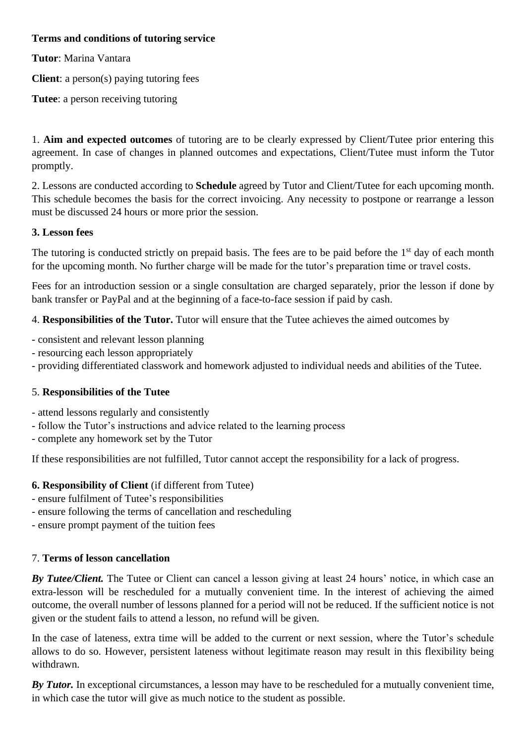# **Terms and conditions of tutoring service**

**Tutor**: Marina Vantara

**Client**: a person(s) paying tutoring fees

**Tutee**: a person receiving tutoring

1. **Aim and expected outcomes** of tutoring are to be clearly expressed by Client/Tutee prior entering this agreement. In case of changes in planned outcomes and expectations, Client/Tutee must inform the Tutor promptly.

2. Lessons are conducted according to **Schedule** agreed by Tutor and Client/Tutee for each upcoming month. This schedule becomes the basis for the correct invoicing. Any necessity to postpone or rearrange a lesson must be discussed 24 hours or more prior the session.

### **3. Lesson fees**

The tutoring is conducted strictly on prepaid basis. The fees are to be paid before the 1<sup>st</sup> day of each month for the upcoming month. No further charge will be made for the tutor's preparation time or travel costs.

Fees for an introduction session or a single consultation are charged separately, prior the lesson if done by bank transfer or PayPal and at the beginning of a face-to-face session if paid by cash.

4. **Responsibilities of the Tutor.** Tutor will ensure that the Tutee achieves the aimed outcomes by

- consistent and relevant lesson planning
- resourcing each lesson appropriately
- providing differentiated classwork and homework adjusted to individual needs and abilities of the Tutee.

# 5. **Responsibilities of the Tutee**

- attend lessons regularly and consistently
- follow the Tutor's instructions and advice related to the learning process
- complete any homework set by the Tutor

If these responsibilities are not fulfilled, Tutor cannot accept the responsibility for a lack of progress.

# **6. Responsibility of Client** (if different from Tutee)

- ensure fulfilment of Tutee's responsibilities
- ensure following the terms of cancellation and rescheduling
- ensure prompt payment of the tuition fees

#### 7. **Terms of lesson cancellation**

*By Tutee/Client.* The Tutee or Client can cancel a lesson giving at least 24 hours' notice, in which case an extra-lesson will be rescheduled for a mutually convenient time. In the interest of achieving the aimed outcome, the overall number of lessons planned for a period will not be reduced. If the sufficient notice is not given or the student fails to attend a lesson, no refund will be given.

In the case of lateness, extra time will be added to the current or next session, where the Tutor's schedule allows to do so. However, persistent lateness without legitimate reason may result in this flexibility being withdrawn.

*By Tutor.* In exceptional circumstances, a lesson may have to be rescheduled for a mutually convenient time, in which case the tutor will give as much notice to the student as possible.